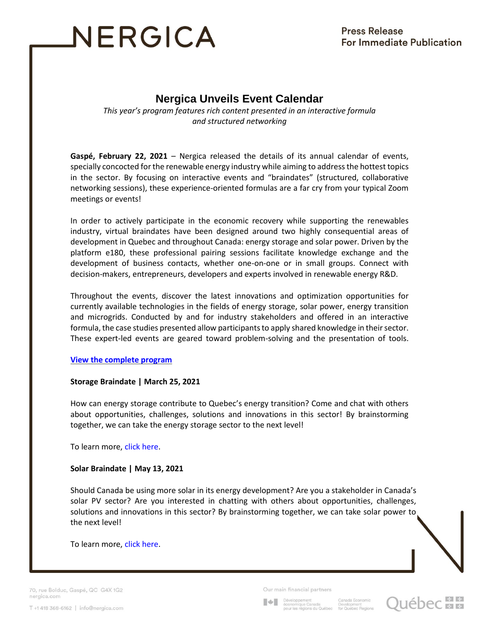# NERGICA

## **Nergica Unveils Event Calendar**

*This year's program features rich content presented in an interactive formula and structured networking*

**Gaspé, February 22, 2021** – Nergica released the details of its annual calendar of events, specially concocted for the renewable energy industry while aiming to address the hottest topics in the sector. By focusing on interactive events and "braindates" (structured, collaborative networking sessions), these experience-oriented formulas are a far cry from your typical Zoom meetings or events!

In order to actively participate in the economic recovery while supporting the renewables industry, virtual braindates have been designed around two highly consequential areas of development in Quebec and throughout Canada: energy storage and solar power. Driven by the platform e180, these professional pairing sessions facilitate knowledge exchange and the development of business contacts, whether one-on-one or in small groups. Connect with decision-makers, entrepreneurs, developers and experts involved in renewable energy R&D.

Throughout the events, discover the latest innovations and optimization opportunities for currently available technologies in the fields of energy storage, solar power, energy transition and microgrids. Conducted by and for industry stakeholders and offered in an interactive formula, the case studies presented allow participants to apply shared knowledge in their sector. These expert-led events are geared toward problem-solving and the presentation of tools.

### **[View the complete program](https://nergica.com/en/upcoming-events/)**

### **Storage Braindate | March 25, 2021**

How can energy storage contribute to Quebec's energy transition? Come and chat with others about opportunities, challenges, solutions and innovations in this sector! By brainstorming together, we can take the energy storage sector to the next level!

To learn more[, click here.](https://nergica.com/en/braindate-stockage/)

### **Solar Braindate | May 13, 2021**

Should Canada be using more solar in its energy development? Are you a stakeholder in Canada's solar PV sector? Are you interested in chatting with others about opportunities, challenges, solutions and innovations in this sector? By brainstorming together, we can take solar power to the next level!

To learn more[, click here.](https://nergica.com/en/braindate-solaire/)

70, rue Bolduc, Gaspé, QC G4X 1G2 nergica.com

Our main financial partners